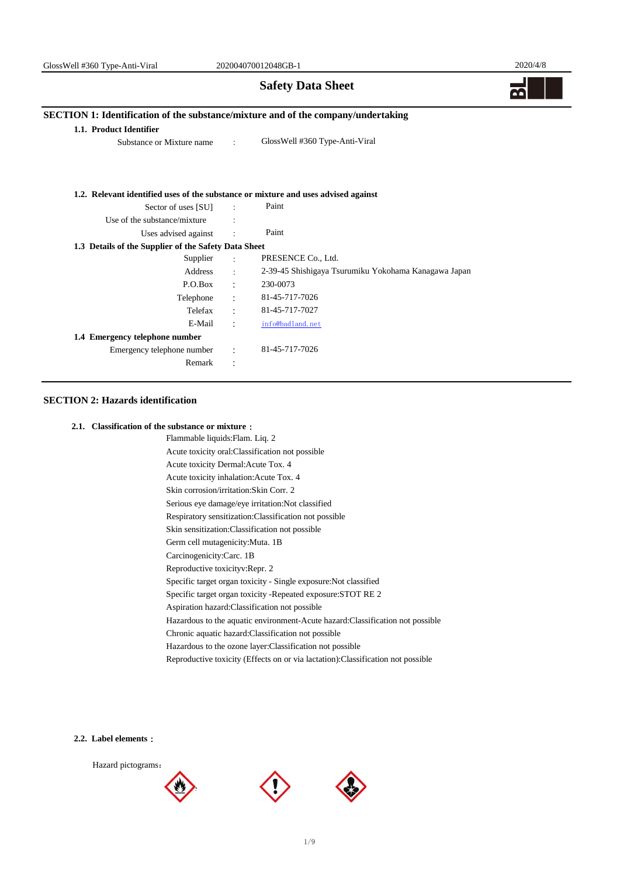# **Safety Data Sheet**

2020/4/8

# **SECTION 1: Identification of the substance/mixture and of the company/undertaking**

#### **1.1. Product Identifier**

Substance or Mixture name :

GlossWell #360 Type-Anti-Viral

#### **1.2. Relevant identified uses of the substance or mixture and uses advised against**

| Sector of uses [SU]                                  |                      | Paint                                                |
|------------------------------------------------------|----------------------|------------------------------------------------------|
| Use of the substance/mixture                         |                      |                                                      |
| Uses advised against                                 | $\ddot{\cdot}$       | Paint                                                |
| 1.3 Details of the Supplier of the Safety Data Sheet |                      |                                                      |
| Supplier                                             | $\ddot{\phantom{0}}$ | PRESENCE Co., Ltd.                                   |
| Address                                              | $\ddot{\cdot}$       | 2-39-45 Shishigaya Tsurumiku Yokohama Kanagawa Japan |
| P.O.Box                                              |                      | 230-0073                                             |
| Telephone                                            | $\ddot{\phantom{a}}$ | 81-45-717-7026                                       |
| Telefax                                              | $\ddot{\phantom{a}}$ | 81-45-717-7027                                       |
| E-Mail                                               | $\ddot{\phantom{a}}$ | info@badland.net                                     |
| 1.4 Emergency telephone number                       |                      |                                                      |
| Emergency telephone number                           | $\ddot{\phantom{a}}$ | 81-45-717-7026                                       |
| Remark                                               | ٠                    |                                                      |
|                                                      |                      |                                                      |

## **SECTION 2: Hazards identification**

## **2.1. Classification of the substance or mixture**:

Flammable liquids:Flam. Liq. 2 Acute toxicity Dermal:Acute Tox. 4 Carcinogenicity:Carc. 1B Acute toxicity oral:Classification not possible Acute toxicity inhalation:Acute Tox. 4 Serious eye damage/eye irritation:Not classified Skin sensitization:Classification not possible Respiratory sensitization:Classification not possible Germ cell mutagenicity:Muta. 1B Reproductive toxicityv:Repr. 2 Specific target organ toxicity - Single exposure:Not classified Specific target organ toxicity -Repeated exposure:STOT RE 2 Hazardous to the ozone layer:Classification not possible Reproductive toxicity (Effects on or via lactation):Classification not possible Skin corrosion/irritation:Skin Corr. 2 Chronic aquatic hazard:Classification not possible Aspiration hazard:Classification not possible Hazardous to the aquatic environment-Acute hazard:Classification not possible

#### **2.2. Label elements**:





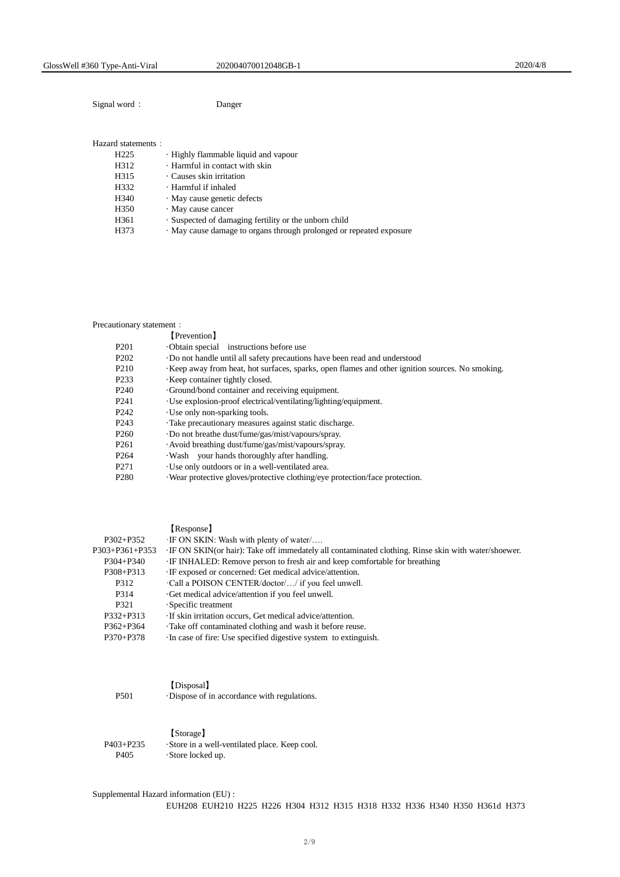Signal word: Danger

## Hazard statements:

| H <sub>225</sub> | Highly flammable liquid and vapour                                |
|------------------|-------------------------------------------------------------------|
| H312             | · Harmful in contact with skin                                    |
| H315             | · Causes skin irritation                                          |
| H332             | · Harmful if inhaled                                              |
| H340             | · May cause genetic defects                                       |
| H350             | · May cause cancer                                                |
| H361             | . Suspected of damaging fertility or the unborn child             |
| H373             | May cause damage to organs through prolonged or repeated exposure |
|                  |                                                                   |

## Precautionary statement:

|                   | Prevention I                                                                                   |
|-------------------|------------------------------------------------------------------------------------------------|
| P <sub>201</sub>  | Obtain special instructions before use                                                         |
| P <sub>202</sub>  | Do not handle until all safety precautions have been read and understood                       |
| P <sub>210</sub>  | Keep away from heat, hot surfaces, sparks, open flames and other ignition sources. No smoking. |
| P <sub>2</sub> 33 | Keep container tightly closed.                                                                 |
| P <sub>240</sub>  | Ground/bond container and receiving equipment.                                                 |
| P <sub>241</sub>  | Use explosion-proof electrical/ventilating/lighting/equipment.                                 |
| P <sub>242</sub>  | Use only non-sparking tools.                                                                   |
| P <sub>243</sub>  | Take precautionary measures against static discharge.                                          |
| P <sub>260</sub>  | Do not breathe dust/fume/gas/mist/vapours/spray.                                               |
| P <sub>261</sub>  | · Avoid breathing dust/fume/gas/mist/vapours/spray.                                            |
| P <sub>264</sub>  | Wash your hands thoroughly after handling.                                                     |
| P <sub>271</sub>  | Use only outdoors or in a well-ventilated area.                                                |
| P <sub>280</sub>  | Wear protective gloves/protective clothing/eye protection/face protection.                     |

|                | [Response]                                                                                           |
|----------------|------------------------------------------------------------------------------------------------------|
| $P302 + P352$  | ·IF ON SKIN: Wash with plenty of water/                                                              |
| P303+P361+P353 | · IF ON SKIN(or hair): Take off immedately all contaminated clothing. Rinse skin with water/shoewer. |
| P304+P340      | IF INHALED: Remove person to fresh air and keep comfortable for breathing                            |
| P308+P313      | · IF exposed or concerned: Get medical advice/attention.                                             |
| P312           | Call a POISON CENTER/doctor// if you feel unwell.                                                    |
| P314           | Get medical advice/attention if you feel unwell.                                                     |
| P321           | Specific treatment                                                                                   |
| P332+P313      | If skin irritation occurs, Get medical advice/attention.                                             |
| P362+P364      | Take off contaminated clothing and wash it before reuse.                                             |
| P370+P378      | In case of fire: Use specified digestive system to extinguish.                                       |

| 370+P378 |  | In case of fire: Use specified digestive system to extinguish. |  |
|----------|--|----------------------------------------------------------------|--|
|          |  |                                                                |  |

|      | (Disposal)                                   |
|------|----------------------------------------------|
| P501 | . Dispose of in accordance with regulations. |

|           | [Storage]                                    |
|-----------|----------------------------------------------|
| P403+P235 | Store in a well-ventilated place. Keep cool. |
| P405      | $\cdot$ Store locked up.                     |

Supplemental Hazard information (EU) : EUH208 EUH210 H225 H226 H304 H312 H315 H318 H332 H336 H340 H350 H361d H373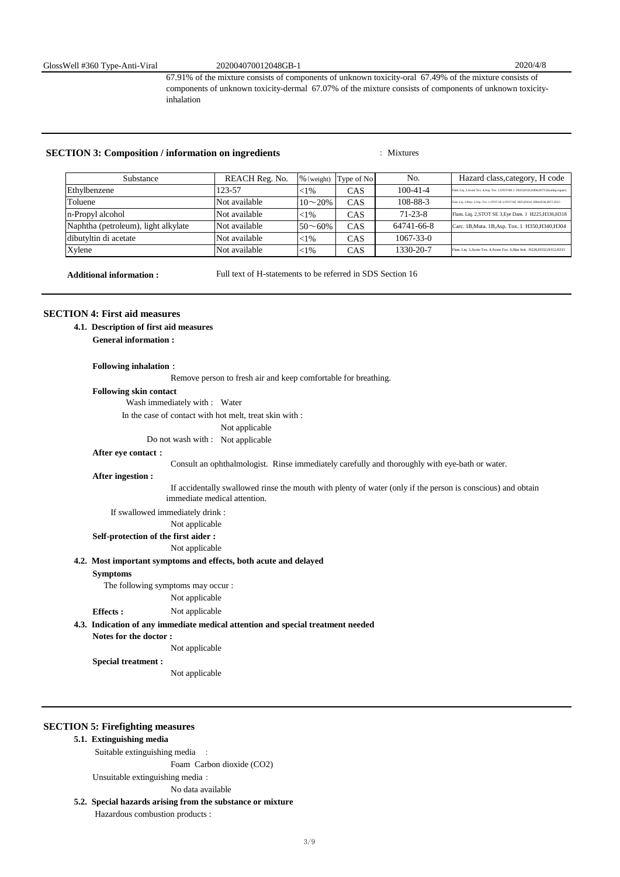67.91% of the mixture consists of components of unknown toxicity-oral 67.49% of the mixture consists of components of unknown toxicity-dermal 67.07% of the mixture consists of components of unknown toxicityinhalation

# **SECTION 3: Composition / information on ingredients** : Mixtures

| Substance                           | REACH Reg. No. | $%$ (weight)    | Type of No | No.             | Hazard class, category, H code                                                             |
|-------------------------------------|----------------|-----------------|------------|-----------------|--------------------------------------------------------------------------------------------|
| Ethylbenzene                        | 123-57         | ${<}1\%$        | CAS        | $100 - 41 - 4$  | Flam. Liq. 2, Acute Tox. 4, Asp. Tox. 1, STOT RE 2 H225, H332, H304, H373 (hearing organs) |
| Toluene                             | Not available  | $10\sim 20\%$   | CAS        | 108-88-3        | Flam. Liq. 2, Repr. 2, Asp. Tox. 1, STOT SE 3, STOT RE H225, H361, H304, H336, H373, H315  |
| n-Propyl alcohol                    | Not available  | ${<}1\%$        | CAS        | $71 - 23 - 8$   | Flam. Liq. 2, STOT SE 3, Eye Dam. 1 H225, H336, H318                                       |
| Naphtha (petroleum), light alkylate | Not available  | $50^{\sim}60\%$ | CAS        | 64741-66-8      | Carc. 1B, Muta. 1B, Asp. Tox. 1 H350, H340, H304                                           |
| dibutyltin di acetate               | Not available  | ${<}1\%$        | CAS        | $1067 - 33 - 0$ |                                                                                            |
| Xylene                              | Not available  | ${<}1\%$        | CAS        | 1330-20-7       | Flam. Liq. 3, Acute Tox. 4, Acute Tox. 4, Skin Irrit. H226, H332, H312, H315               |

**Additional information :** 

Full text of H-statements to be referred in SDS Section 16

# **SECTION 4: First aid measures**

 **4.1. Description of first aid measures**

**General information :**

#### **Following inhalation**:

Remove person to fresh air and keep comfortable for breathing.

#### **Following skin contact**

Wash immediately with : Water

In the case of contact with hot melt, treat skin with :

## Not applicable

Do not wash with : Not applicable

#### **After eye contact**:

Consult an ophthalmologist. Rinse immediately carefully and thoroughly with eye-bath or water.

#### **After ingestion :**

 If accidentally swallowed rinse the mouth with plenty of water (only if the person is conscious) and obtain immediate medical attention.

If swallowed immediately drink :

Not applicable

# **Self-protection of the first aider :**

Not applicable

#### **4.2. Most important symptoms and effects, both acute and delayed**

#### **Symptoms**

**Effects :**

The following symptoms may occur :

Not applicable

Not applicable

# **4.3. Indication of any immediate medical attention and special treatment needed**

**Notes for the doctor :**

Not applicable

**Special treatment :**

Not applicable

## **SECTION 5: Firefighting measures**

#### **5.1. Extinguishing media**

Suitable extinguishing media :

Foam Carbon dioxide (CO2)

Unsuitable extinguishing media:

No data available

# **5.2. Special hazards arising from the substance or mixture**

Hazardous combustion products :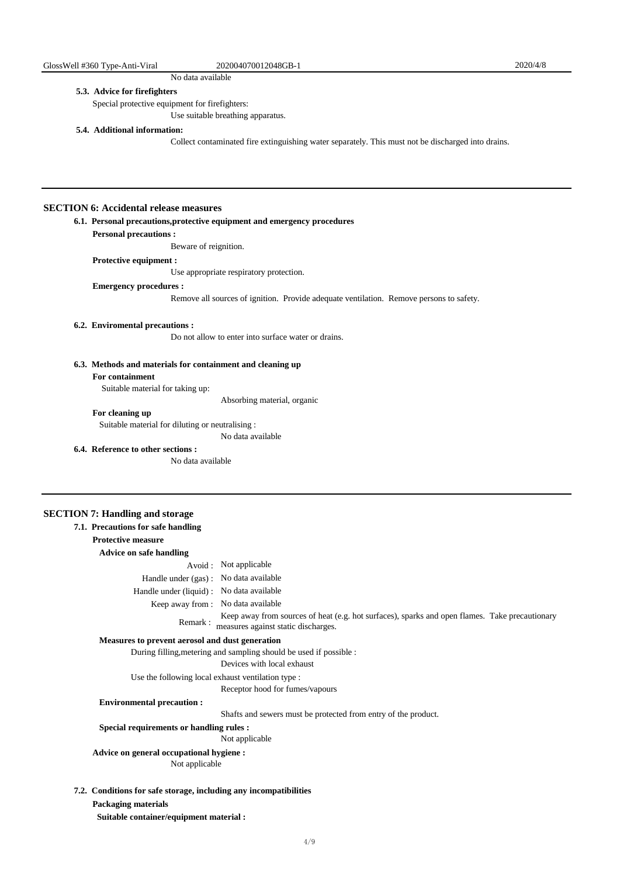No data available

### **5.3. Advice for firefighters**

Special protective equipment for firefighters:

Use suitable breathing apparatus.

## **5.4. Additional information:**

Collect contaminated fire extinguishing water separately. This must not be discharged into drains.

## **SECTION 6: Accidental release measures**

## **6.1. Personal precautions,protective equipment and emergency procedures**

**Personal precautions :**

Beware of reignition.

## **Protective equipment :**

Use appropriate respiratory protection.

#### **Emergency procedures :**

Remove all sources of ignition. Provide adequate ventilation. Remove persons to safety.

## **6.2. Enviromental precautions :**

Do not allow to enter into surface water or drains.

# **6.3. Methods and materials for containment and cleaning up**

#### **For containment**

Suitable material for taking up:

Absorbing material, organic

# **For cleaning up**

Suitable material for diluting or neutralising :

No data available

## **6.4. Reference to other sections :**

No data available

## **SECTION 7: Handling and storage**

| 7.1. Precautions for safe handling                 |                                                                                                                                       |
|----------------------------------------------------|---------------------------------------------------------------------------------------------------------------------------------------|
| <b>Protective measure</b>                          |                                                                                                                                       |
| <b>Advice on safe handling</b>                     |                                                                                                                                       |
|                                                    | Avoid : Not applicable                                                                                                                |
| Handle under (gas): No data available              |                                                                                                                                       |
| Handle under (liquid) : No data available          |                                                                                                                                       |
| Keep away from: No data available                  |                                                                                                                                       |
| Remark:                                            | Keep away from sources of heat (e.g. hot surfaces), sparks and open flames. Take precautionary<br>measures against static discharges. |
| Measures to prevent aerosol and dust generation    |                                                                                                                                       |
|                                                    | During filling, metering and sampling should be used if possible :                                                                    |
|                                                    | Devices with local exhaust                                                                                                            |
| Use the following local exhaust ventilation type : |                                                                                                                                       |
|                                                    | Receptor hood for fumes/vapours                                                                                                       |
| <b>Environmental precaution:</b>                   |                                                                                                                                       |
|                                                    | Shafts and sewers must be protected from entry of the product.                                                                        |
| Special requirements or handling rules :           |                                                                                                                                       |
|                                                    | Not applicable                                                                                                                        |
| Advice on general occupational hygiene :           |                                                                                                                                       |
| Not applicable                                     |                                                                                                                                       |

 **Suitable container/equipment material :**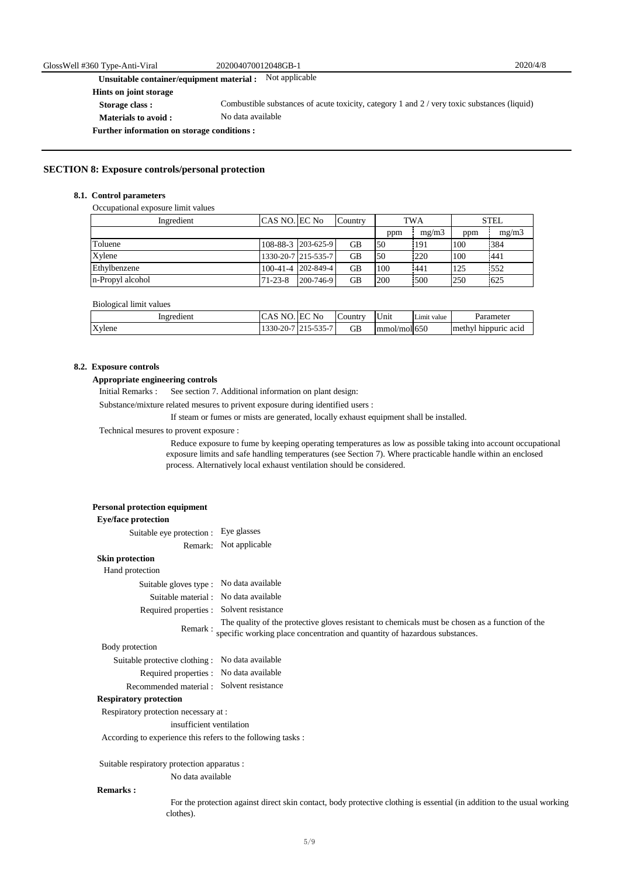**Unsuitable container/equipment material :** Not applicable

**Hints on joint storage**

- **Storage class :**
- **Materials to avoid :**
- No data available Combustible substances of acute toxicity, category 1 and 2 / very toxic substances (liquid)

**Further information on storage conditions :**

#### **SECTION 8: Exposure controls/personal protection**

#### **8.1. Control parameters**

Occupational exposure limit values

| Ingredient       | ICAS NO. EC No |                     | Country   |     | <b>TWA</b> |     | <b>STEL</b> |
|------------------|----------------|---------------------|-----------|-----|------------|-----|-------------|
|                  |                |                     |           | ppm | me/m3      | ppm | mg/m3       |
| Toluene          |                | 108-88-3 203-625-9  | <b>GB</b> | 50  | 191        | 100 | 384         |
| Xylene           |                | 1330-20-7 215-535-7 | <b>GB</b> | 50  | 220        | 100 | 441         |
| Ethylbenzene     |                | 100-41-4 202-849-4  | <b>GB</b> | 100 | 441        | 125 | 552         |
| n-Propyl alcohol | $71 - 23 - 8$  | 200-746-9           | <b>GB</b> | 200 | 500        | 250 | 625         |

#### Biological limit values

| Ingredient | NI<br>-נר         | <b>EC</b> No                                                                   | Country | T<br>∪nıt             | $ -$<br>Limit value | Parameter               |
|------------|-------------------|--------------------------------------------------------------------------------|---------|-----------------------|---------------------|-------------------------|
|            |                   |                                                                                |         |                       |                     |                         |
| Xvlene     | $1330 -$<br>-20-7 | $-2 -$<br>$\overline{\phantom{0}}$<br>י – י<br>$\mathbf{v}$<br>-999<br>.<br>ື້ | GB      | /mol $650$<br>Immol/i |                     | methyl<br>hippuric acid |

## **8.2. Exposure controls**

#### **Appropriate engineering controls**

 Initial Remarks : See section 7. Additional information on plant design:

Substance/mixture related mesures to privent exposure during identified users :

If steam or fumes or mists are generated, locally exhaust equipment shall be installed.

## Technical mesures to provent exposure :

 Reduce exposure to fume by keeping operating temperatures as low as possible taking into account occupational exposure limits and safe handling temperatures (see Section 7). Where practicable handle within an enclosed process. Alternatively local exhaust ventilation should be considered.

| <b>Eye/face protection</b>                                   |                                                                                                                                                                                       |
|--------------------------------------------------------------|---------------------------------------------------------------------------------------------------------------------------------------------------------------------------------------|
| Suitable eye protection : Eye glasses                        |                                                                                                                                                                                       |
| Remark:                                                      | Not applicable                                                                                                                                                                        |
| <b>Skin protection</b>                                       |                                                                                                                                                                                       |
| Hand protection                                              |                                                                                                                                                                                       |
| Suitable gloves type : No data available                     |                                                                                                                                                                                       |
| Suitable material : No data available                        |                                                                                                                                                                                       |
| Required properties : Solvent resistance                     |                                                                                                                                                                                       |
|                                                              | The quality of the protective gloves resistant to chemicals must be chosen as a function of the<br>Remark: specific working place concentration and quantity of hazardous substances. |
| Body protection                                              |                                                                                                                                                                                       |
| Suitable protective clothing : No data available             |                                                                                                                                                                                       |
| Required properties : No data available                      |                                                                                                                                                                                       |
| Recommended material : Solvent resistance                    |                                                                                                                                                                                       |
| <b>Respiratory protection</b>                                |                                                                                                                                                                                       |
| Respiratory protection necessary at :                        |                                                                                                                                                                                       |
| insufficient ventilation                                     |                                                                                                                                                                                       |
| According to experience this refers to the following tasks : |                                                                                                                                                                                       |
| Suitable respiratory protection apparatus :                  |                                                                                                                                                                                       |
| No data available                                            |                                                                                                                                                                                       |
| <b>Remarks:</b>                                              |                                                                                                                                                                                       |

 For the protection against direct skin contact, body protective clothing is essential (in addition to the usual working clothes).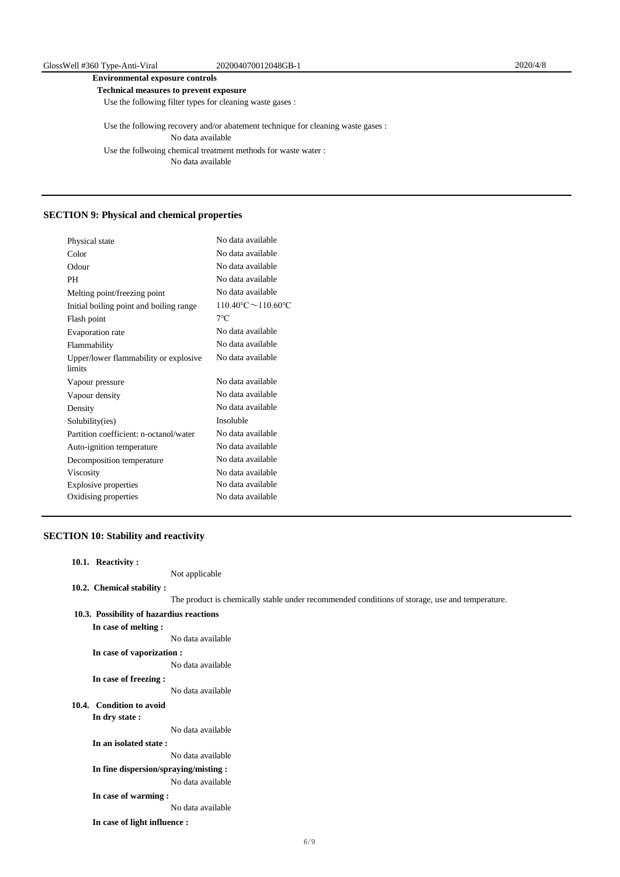# **Environmental exposure controls**

 **Technical measures to prevent exposure**

Use the following filter types for cleaning waste gases :

 Use the following recovery and/or abatement technique for cleaning waste gases : Use the follwoing chemical treatment methods for waste water : No data available No data available

# **SECTION 9: Physical and chemical properties**

| Physical state                                  | No data available                  |
|-------------------------------------------------|------------------------------------|
| Color                                           | No data available                  |
| Odour                                           | No data available                  |
| PH                                              | No data available                  |
| Melting point/freezing point                    | No data available                  |
| Initial boiling point and boiling range         | $110.40^{\circ}$ C $\sim$ 110.60°C |
| Flash point                                     | $7^{\circ}$ C                      |
| Evaporation rate                                | No data available                  |
| Flammability                                    | No data available                  |
| Upper/lower flammability or explosive<br>limits | No data available                  |
| Vapour pressure                                 | No data available                  |
| Vapour density                                  | No data available                  |
| Density                                         | No data available                  |
| Solubility(ies)                                 | Insoluble                          |
| Partition coefficient: n-octanol/water          | No data available                  |
| Auto-ignition temperature                       | No data available                  |
| Decomposition temperature                       | No data available                  |
| Viscosity                                       | No data available                  |
| Explosive properties                            | No data available                  |
| Oxidising properties                            | No data available                  |
|                                                 |                                    |

# **SECTION 10: Stability and reactivity**

| 10.1. Reactivity:                        |                                                                                                |
|------------------------------------------|------------------------------------------------------------------------------------------------|
|                                          | Not applicable                                                                                 |
| 10.2. Chemical stability:                |                                                                                                |
|                                          | The product is chemically stable under recommended conditions of storage, use and temperature. |
| 10.3. Possibility of hazardius reactions |                                                                                                |
| In case of melting :                     |                                                                                                |
|                                          | No data available                                                                              |
| In case of vaporization :                |                                                                                                |
|                                          | No data available                                                                              |
| In case of freezing :                    |                                                                                                |
|                                          | No data available                                                                              |
| 10.4. Condition to avoid                 |                                                                                                |
| In dry state :                           |                                                                                                |
|                                          | No data available                                                                              |
| In an isolated state:                    |                                                                                                |
|                                          | No data available                                                                              |
| In fine dispersion/spraying/misting :    |                                                                                                |
|                                          | No data available                                                                              |
| In case of warming:                      |                                                                                                |
|                                          | No data available                                                                              |
| In case of light influence :             |                                                                                                |
|                                          |                                                                                                |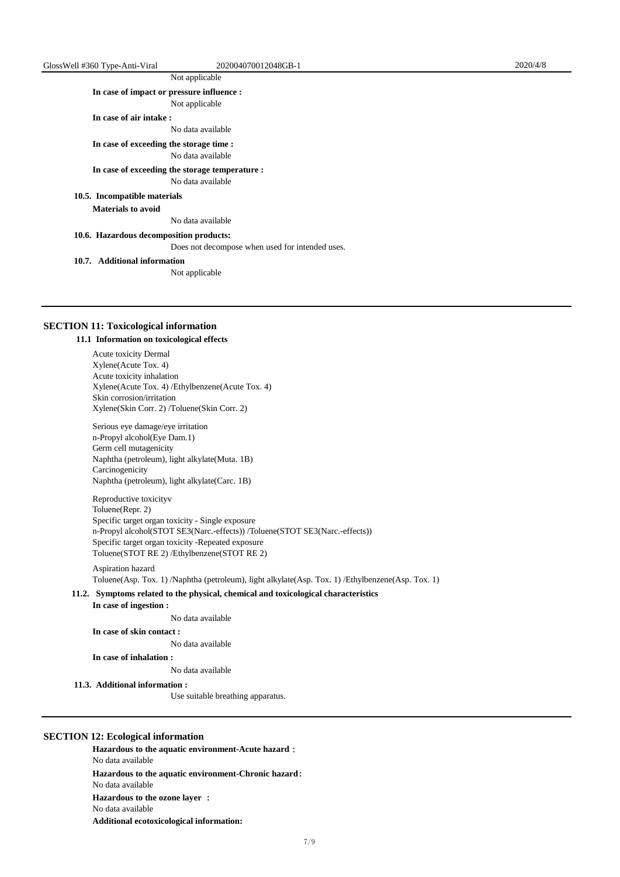# Not applicable

**In case of impact or pressure influence :**

Not applicable

**In case of air intake :**

No data available

**In case of exceeding the storage time :**

No data available

# **In case of exceeding the storage temperature :**

No data available

# **10.5. Incompatible materials**

**Materials to avoid** 

No data available

 **10.6. Hazardous decomposition products:**

Does not decompose when used for intended uses.

#### **10.7. Additional information**

Not applicable

#### **SECTION 11: Toxicological information**

#### **11.1 Information on toxicological effects**

Acute toxicity Dermal Xylene(Acute Tox. 4) Acute toxicity inhalation Xylene(Acute Tox. 4) /Ethylbenzene(Acute Tox. 4) Skin corrosion/irritation Xylene(Skin Corr. 2) /Toluene(Skin Corr. 2)

Serious eye damage/eye irritation n-Propyl alcohol(Eye Dam.1) Germ cell mutagenicity Naphtha (petroleum), light alkylate(Muta. 1B) Carcinogenicity Naphtha (petroleum), light alkylate(Carc. 1B)

Reproductive toxicityv Toluene(Repr. 2) Specific target organ toxicity - Single exposure n-Propyl alcohol(STOT SE3(Narc.-effects)) /Toluene(STOT SE3(Narc.-effects)) Specific target organ toxicity -Repeated exposure Toluene(STOT RE 2) /Ethylbenzene(STOT RE 2)

# Aspiration hazard

Toluene(Asp. Tox. 1) /Naphtha (petroleum), light alkylate(Asp. Tox. 1) /Ethylbenzene(Asp. Tox. 1)

#### **11.2. Symptoms related to the physical, chemical and toxicological characteristics**

**In case of ingestion :**

No data available

#### **In case of skin contact :**

No data available

**In case of inhalation :**

No data available

#### **11.3. Additional information :**

Use suitable breathing apparatus.

## **SECTION 12: Ecological information**

**Hazardous to the aquatic environment-Acute hazard**: **Hazardous to the aquatic environment-Chronic hazard**: **Hazardous to the ozone layer** : **Additional ecotoxicological information:** No data available No data available No data available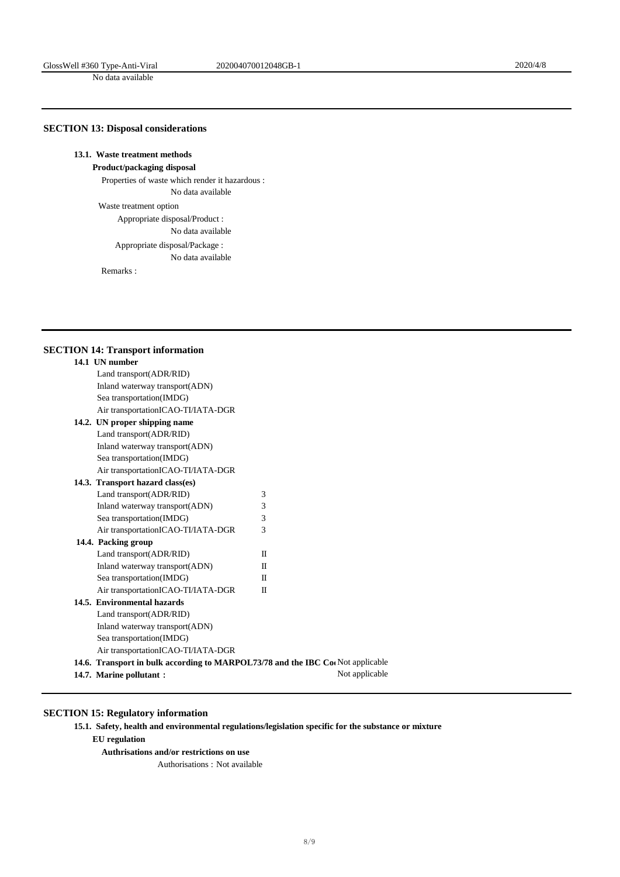No data available

# **SECTION 13: Disposal considerations**

# **13.1. Waste treatment methods**

**Product/packaging disposal** 

 Properties of waste which render it hazardous : No data available

Waste treatment option

Appropriate disposal/Product :

No data available

 Appropriate disposal/Package : No data available

Remarks :

# **SECTION 14: Transport information**

| 14.1 UN number                                                                 |                |
|--------------------------------------------------------------------------------|----------------|
| Land transport(ADR/RID)                                                        |                |
| Inland waterway transport(ADN)                                                 |                |
| Sea transportation(IMDG)                                                       |                |
| Air transportationICAO-TI/IATA-DGR                                             |                |
| 14.2. UN proper shipping name                                                  |                |
| Land transport(ADR/RID)                                                        |                |
| Inland waterway transport(ADN)                                                 |                |
| Sea transportation(IMDG)                                                       |                |
| Air transportationICAO-TI/IATA-DGR                                             |                |
| 14.3. Transport hazard class(es)                                               |                |
| Land transport(ADR/RID)                                                        | 3              |
| Inland waterway transport(ADN)                                                 | 3              |
| Sea transportation(IMDG)                                                       | 3              |
| Air transportationICAO-TI/IATA-DGR                                             | 3              |
| 14.4. Packing group                                                            |                |
| Land transport(ADR/RID)                                                        | H              |
| Inland waterway transport(ADN)                                                 | $_{\rm II}$    |
| Sea transportation(IMDG)                                                       | $_{\rm II}$    |
| Air transportationICAO-TI/IATA-DGR                                             | H              |
| 14.5. Environmental hazards                                                    |                |
| Land transport(ADR/RID)                                                        |                |
| Inland waterway transport(ADN)                                                 |                |
| Sea transportation(IMDG)                                                       |                |
| Air transportationICAO-TI/IATA-DGR                                             |                |
| 14.6. Transport in bulk according to MARPOL73/78 and the IBC Co Not applicable |                |
| 14.7. Marine pollutant:                                                        | Not applicable |

# **SECTION 15: Regulatory information**

 **15.1. Safety, health and environmental regulations/legislation specific for the substance or mixture**

**EU regulation**

 **Authrisations and/or restrictions on use**

Authorisations : Not available